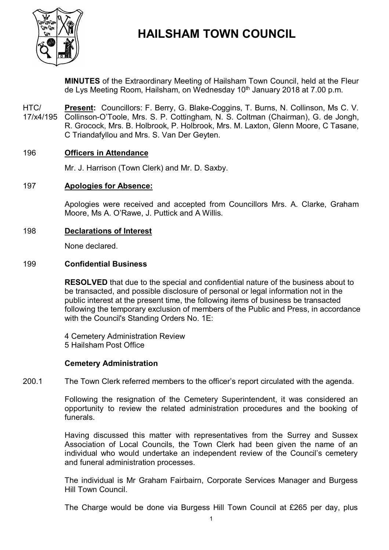

# **HAILSHAM TOWN COUNCIL**

**MINUTES** of the Extraordinary Meeting of Hailsham Town Council, held at the Fleur de Lys Meeting Room, Hailsham, on Wednesday 10<sup>th</sup> January 2018 at 7.00 p.m.

HTC/ 17/x4/195 **Present:** Councillors: F. Berry, G. Blake-Coggins, T. Burns, N. Collinson, Ms C. V. Collinson-O'Toole, Mrs. S. P. Cottingham, N. S. Coltman (Chairman), G. de Jongh, R. Grocock, Mrs. B. Holbrook, P. Holbrook, Mrs. M. Laxton, Glenn Moore, C Tasane, C Triandafyllou and Mrs. S. Van Der Geyten.

# 196 **Officers in Attendance**

Mr. J. Harrison (Town Clerk) and Mr. D. Saxby.

# 197 **Apologies for Absence:**

Apologies were received and accepted from Councillors Mrs. A. Clarke, Graham Moore, Ms A. O'Rawe, J. Puttick and A Willis.

# 198 **Declarations of Interest**

None declared.

# 199 **Confidential Business**

**RESOLVED** that due to the special and confidential nature of the business about to be transacted, and possible disclosure of personal or legal information not in the public interest at the present time, the following items of business be transacted following the temporary exclusion of members of the Public and Press, in accordance with the Council's Standing Orders No. 1E:

4 Cemetery Administration Review 5 Hailsham Post Office

# **Cemetery Administration**

200.1 The Town Clerk referred members to the officer's report circulated with the agenda.

> Following the resignation of the Cemetery Superintendent, it was considered an opportunity to review the related administration procedures and the booking of funerals.

> Having discussed this matter with representatives from the Surrey and Sussex Association of Local Councils, the Town Clerk had been given the name of an individual who would undertake an independent review of the Council's cemetery and funeral administration processes.

> The individual is Mr Graham Fairbairn, Corporate Services Manager and Burgess Hill Town Council.

> The Charge would be done via Burgess Hill Town Council at £265 per day, plus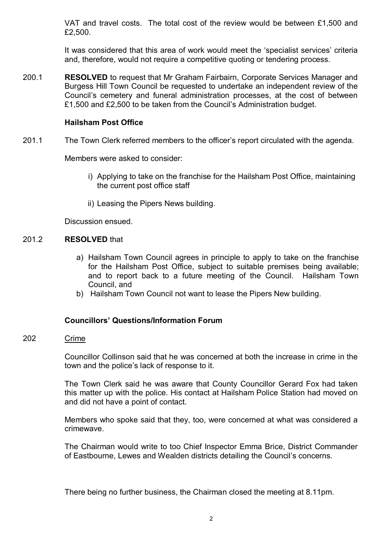VAT and travel costs. The total cost of the review would be between £1,500 and £2,500.

It was considered that this area of work would meet the 'specialist services' criteria and, therefore, would not require a competitive quoting or tendering process.

200.1 **RESOLVED** to request that Mr Graham Fairbairn, Corporate Services Manager and Burgess Hill Town Council be requested to undertake an independent review of the Council's cemetery and funeral administration processes, at the cost of between £1,500 and £2,500 to be taken from the Council's Administration budget.

# **Hailsham Post Office**

201.1 The Town Clerk referred members to the officer's report circulated with the agenda.

Members were asked to consider:

- i) Applying to take on the franchise for the Hailsham Post Office, maintaining the current post office staff
- ii) Leasing the Pipers News building.

Discussion ensued.

### 201.2 **RESOLVED** that

- a) Hailsham Town Council agrees in principle to apply to take on the franchise for the Hailsham Post Office, subject to suitable premises being available; and to report back to a future meeting of the Council. Hailsham Town Council, and
- b) Hailsham Town Council not want to lease the Pipers New building.

# **Councillors' Questions/Information Forum**

#### 202 Crime

Councillor Collinson said that he was concerned at both the increase in crime in the town and the police's lack of response to it.

The Town Clerk said he was aware that County Councillor Gerard Fox had taken this matter up with the police. His contact at Hailsham Police Station had moved on and did not have a point of contact.

Members who spoke said that they, too, were concerned at what was considered a crimewave.

The Chairman would write to too Chief Inspector Emma Brice, District Commander of Eastbourne, Lewes and Wealden districts detailing the Council's concerns.

There being no further business, the Chairman closed the meeting at 8.11pm.